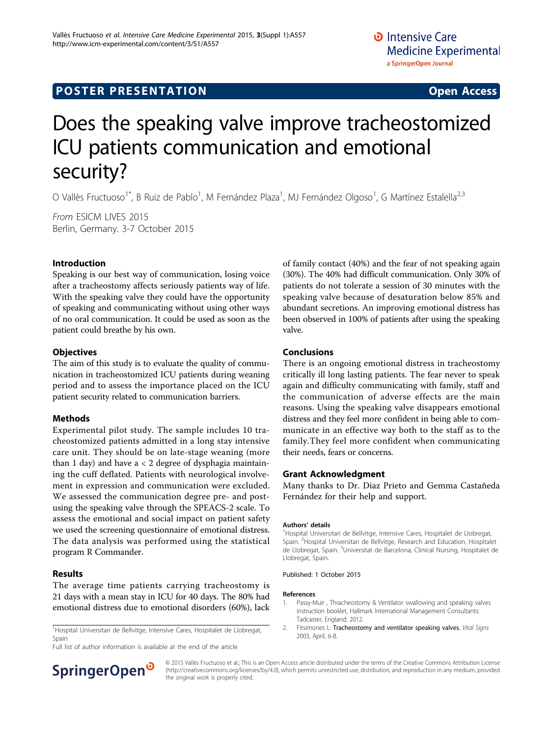# **POSTER PRESENTATION CONSUMING ACCESS**

# Does the speaking valve improve tracheostomized ICU patients communication and emotional security?

O Vallès Fructuoso<sup>1\*</sup>, B Ruiz de Pablo<sup>1</sup>, M Fernández Plaza<sup>1</sup>, MJ Fernández Olgoso<sup>1</sup>, G Martínez Estalella<sup>2,3</sup>

From ESICM LIVES 2015 Berlin, Germany. 3-7 October 2015

## Introduction

Speaking is our best way of communication, losing voice after a tracheostomy affects seriously patients way of life. With the speaking valve they could have the opportunity of speaking and communicating without using other ways of no oral communication. It could be used as soon as the patient could breathe by his own.

#### **Objectives**

The aim of this study is to evaluate the quality of communication in tracheostomized ICU patients during weaning period and to assess the importance placed on the ICU patient security related to communication barriers.

#### Methods

Experimental pilot study. The sample includes 10 tracheostomized patients admitted in a long stay intensive care unit. They should be on late-stage weaning (more than 1 day) and have  $a < 2$  degree of dysphagia maintaining the cuff deflated. Patients with neurological involvement in expression and communication were excluded. We assessed the communication degree pre- and postusing the speaking valve through the SPEACS-2 scale. To assess the emotional and social impact on patient safety we used the screening questionnaire of emotional distress. The data analysis was performed using the statistical program R Commander.

## Results

The average time patients carrying tracheostomy is 21 days with a mean stay in ICU for 40 days. The 80% had emotional distress due to emotional disorders (60%), lack

<sup>1</sup>Hospital Universitari de Bellvitge, Intensive Cares, Hospitalet de Llobregat, Spain

Full list of author information is available at the end of the article



#### Conclusions

There is an ongoing emotional distress in tracheostomy critically ill long lasting patients. The fear never to speak again and difficulty communicating with family, staff and the communication of adverse effects are the main reasons. Using the speaking valve disappears emotional distress and they feel more confident in being able to communicate in an effective way both to the staff as to the family.They feel more confident when communicating their needs, fears or concerns.

#### Grant Acknowledgment

Many thanks to Dr. Diaz Prieto and Gemma Castañeda Fernández for their help and support.

#### Authors' details <sup>1</sup>

<sup>1</sup> Hospital Universitari de Bellvitge, Intensive Cares, Hospitalet de Llobregat, Spain. <sup>2</sup> Hospital Universitari de Bellvitge, Research and Education, Hospitalet de Llobregat, Spain. <sup>3</sup>Universitat de Barcelona, Clinical Nursing, Hospitalet de Llobregat, Spain.

Published: 1 October 2015

#### References

- 1. Passy-Muir , Thracheostomy & Ventilator swallowing and speaking valves instruction booklet, Hallmark International Management Consultants: Tadcaster, England; 2012.
- 2. Fitsimones L: Tracheostomy and ventilator speaking valves. Vital Signs 2003, April, 6-8.



© 2015 Vallès Fructuoso et al.; This is an Open Access article distributed under the terms of the Creative Commons Attribution License [\(http://creativecommons.org/licenses/by/4.0](http://creativecommons.org/licenses/by/4.0)), which permits unrestricted use, distribution, and reproduction in any medium, provided the original work is properly cited.